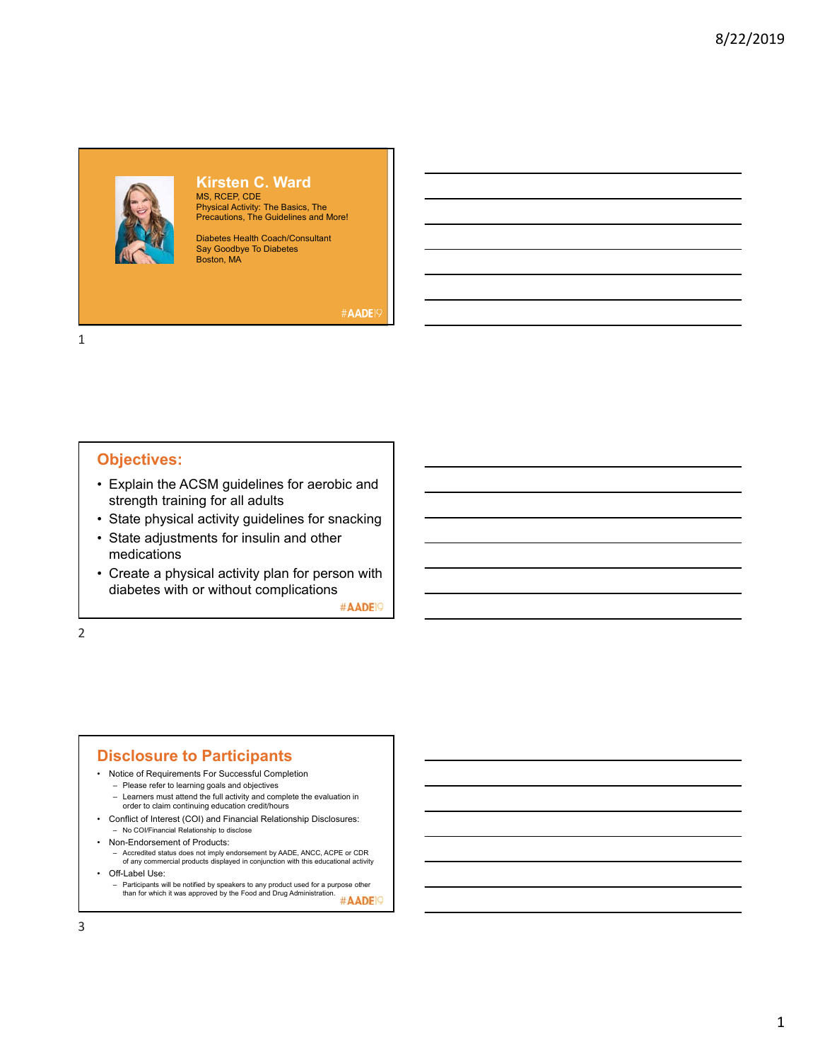

# **Kirsten C. Ward**

MS, RCEP, CDE Physical Activity: The Basics, The Precautions, The Guidelines and More!

Diabetes Health Coach/Consultant Say Goodbye To Diabetes Boston, MA

#AADE1

1

# **Objectives:**

- Explain the ACSM guidelines for aerobic and strength training for all adults
- State physical activity guidelines for snacking
- State adjustments for insulin and other medications
- Create a physical activity plan for person with diabetes with or without complications

#AADE<sub>19</sub>

2

#### **Disclosure to Participants**

- Notice of Requirements For Successful Completion
	- Please refer to learning goals and objectives – Learners must attend the full activity and complete the evaluation in
- order to claim continuing education credit/hours • Conflict of Interest (COI) and Financial Relationship Disclosures:
- No COI/Financial Relationship to disclose
- Non-Endorsement of Products:
	- Accredited status does not imply endorsement by AADE, ANCC, ACPE or CDR of any commercial products displayed in conjunction with this educational activity
- Off-Label Use:
	- Participants will be notified by speakers to any product used for a purpose other than for which it was approved by the Food and Drug Administration. #AADE<sup>19</sup>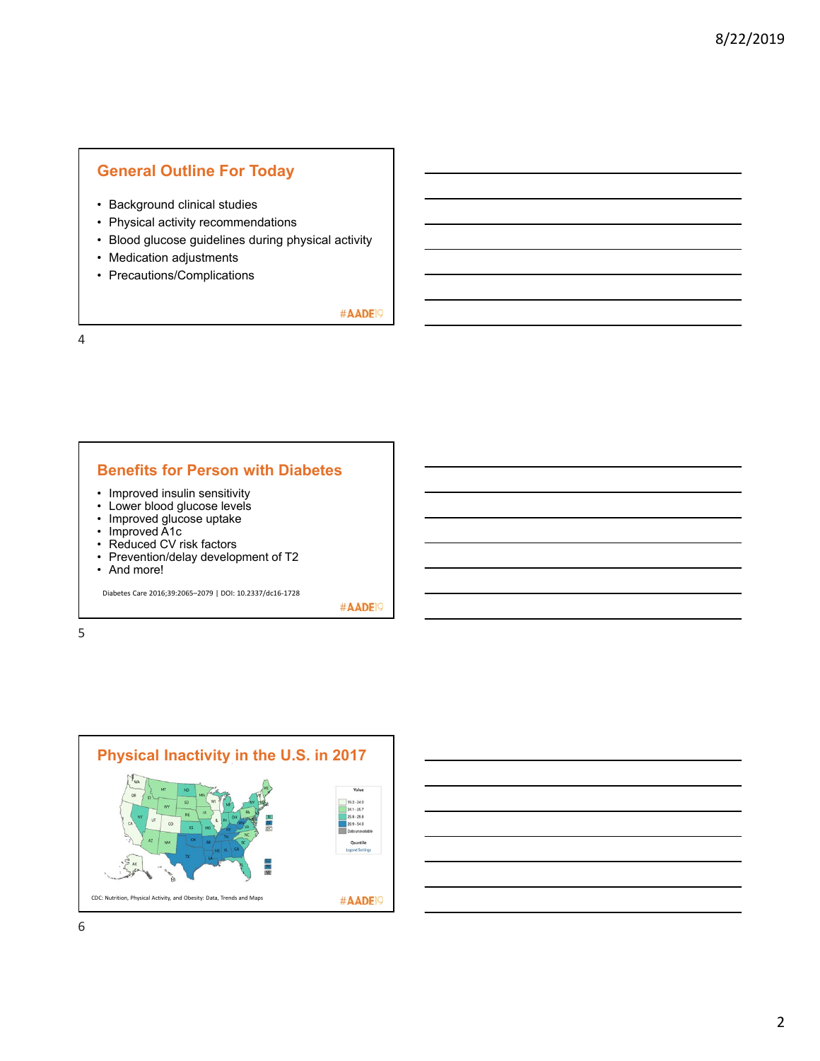# **General Outline For Today**

- Background clinical studies
- Physical activity recommendations
- Blood glucose guidelines during physical activity
- Medication adjustments
- Precautions/Complications

#AADE<sup>19</sup>

4

#### **Benefits for Person with Diabetes**

- Improved insulin sensitivity
- Lower blood glucose levels
- Improved glucose uptake
- Improved A1c
- Reduced CV risk factors
- Prevention/delay development of T2

• And more!

Diabetes Care 2016;39:2065–2079 | DOI: 10.2337/dc16‐1728

#AADE<sup>19</sup>

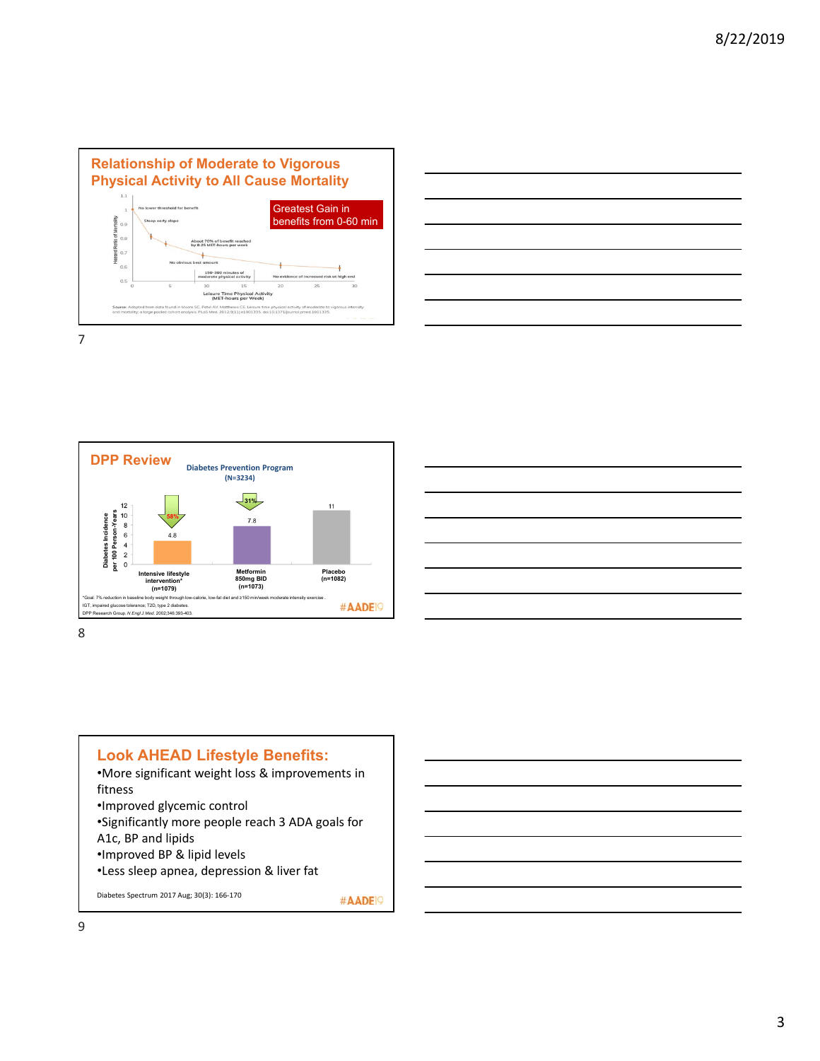





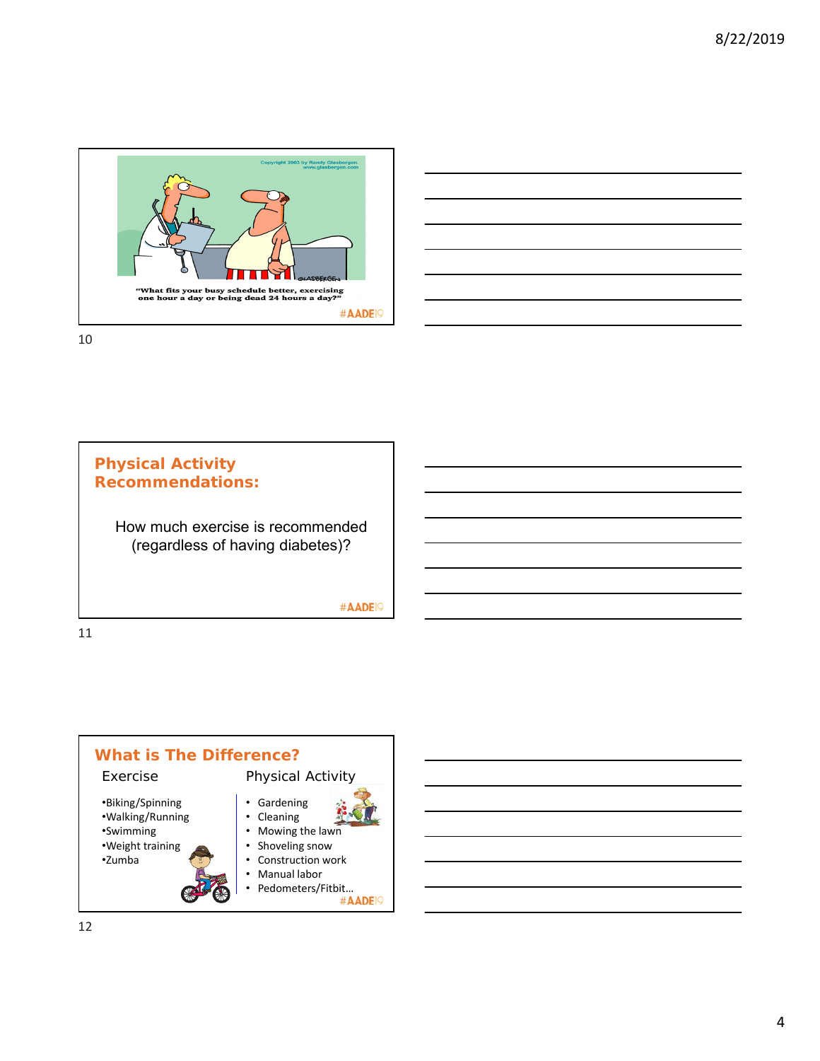



# **Physical Activity Recommendations:**

How much exercise is recommended (regardless of having diabetes)?

#AADE<sup>19</sup>

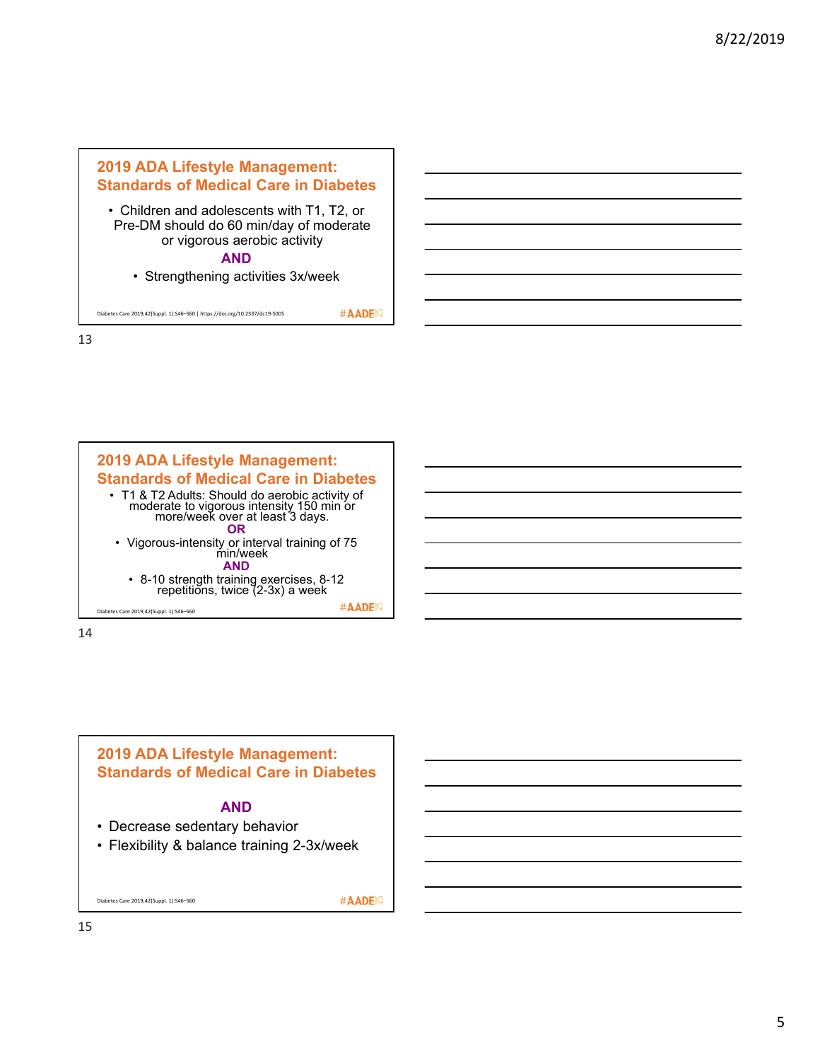



14



#### **AND**

- Decrease sedentary behavior
- Flexibility & balance training 2-3x/week

Diabetes Care 2019;42(Suppl. 1):S46–S60

#AADE<sup>19</sup>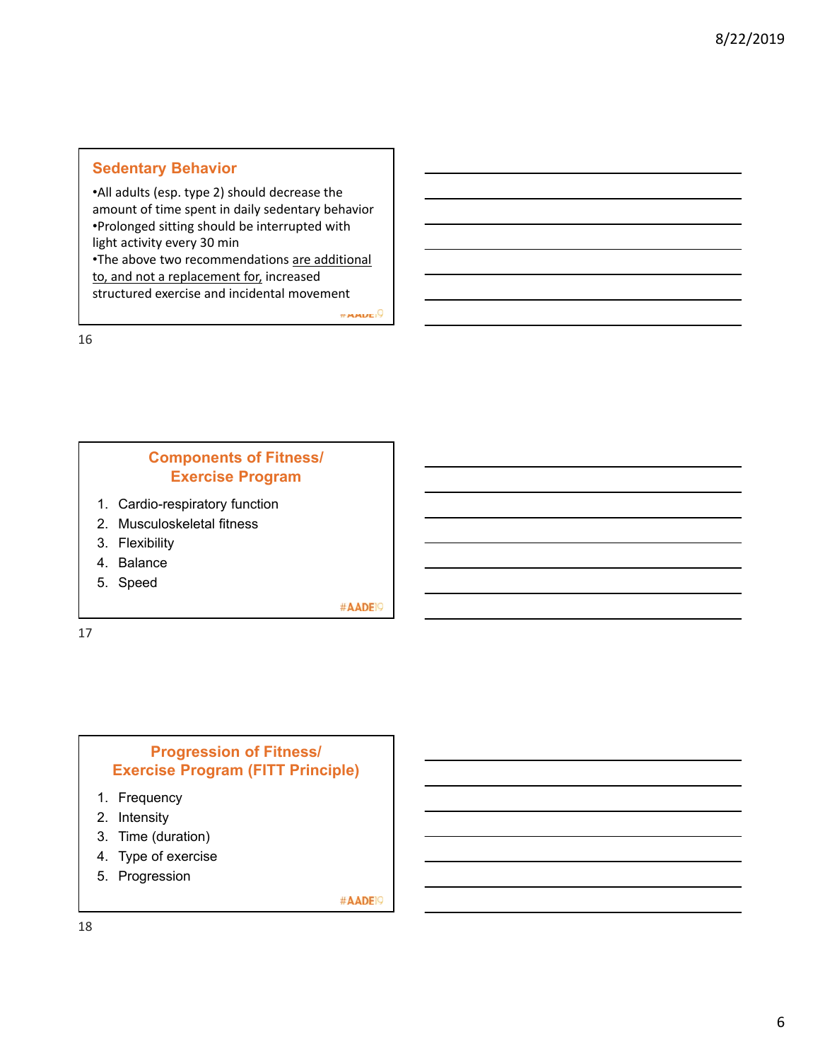# **Sedentary Behavior**

•All adults (esp. type 2) should decrease the amount of time spent in daily sedentary behavior •Prolonged sitting should be interrupted with light activity every 30 min •The above two recommendations are additional

to, and not a replacement for, increased structured exercise and incidental movement

 $m$ musi $9$ 

16

# **Components of Fitness/ Exercise Program**

- 1. Cardio-respiratory function
- 2. Musculoskeletal fitness
- 3. Flexibility
- 4. Balance
- 5. Speed

#AADE<sup>19</sup>

17

# **Progression of Fitness/ Exercise Program (FITT Principle)**

- 1. Frequency
- 2. Intensity
- 3. Time (duration)
- 4. Type of exercise
- 5. Progression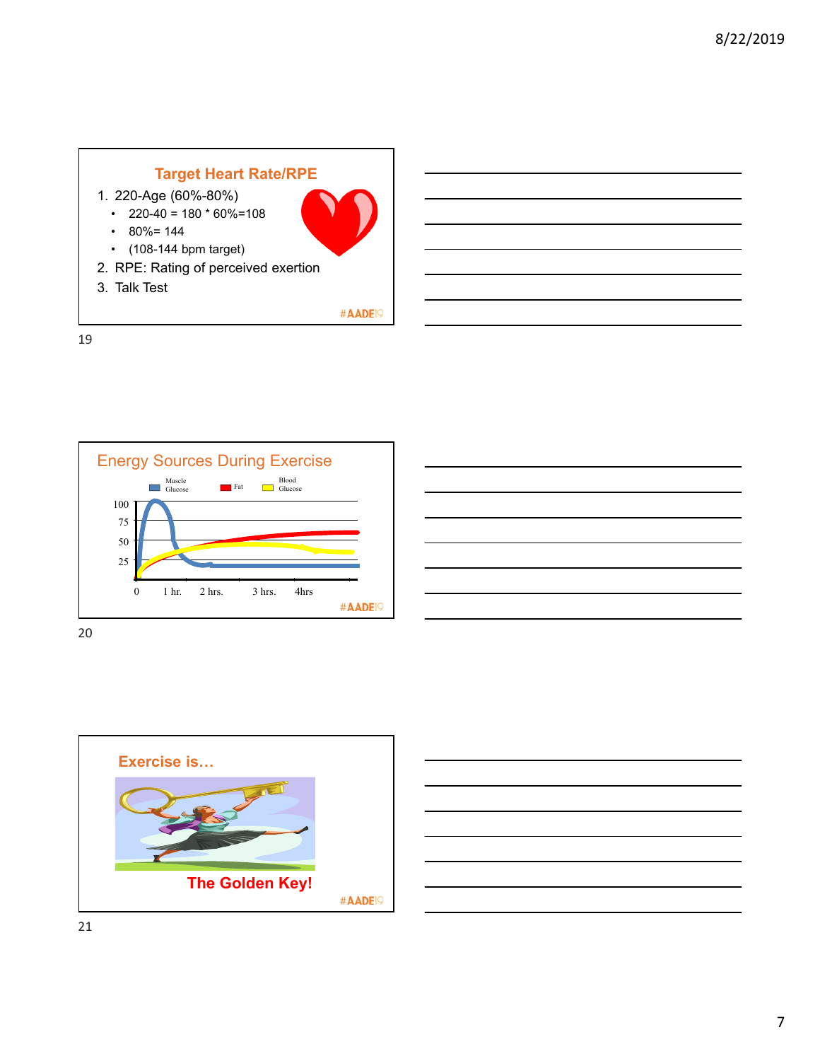



| and the contract of the contract of the contract of the contract of the contract of the contract of the contract of |  |
|---------------------------------------------------------------------------------------------------------------------|--|
|                                                                                                                     |  |
|                                                                                                                     |  |
|                                                                                                                     |  |



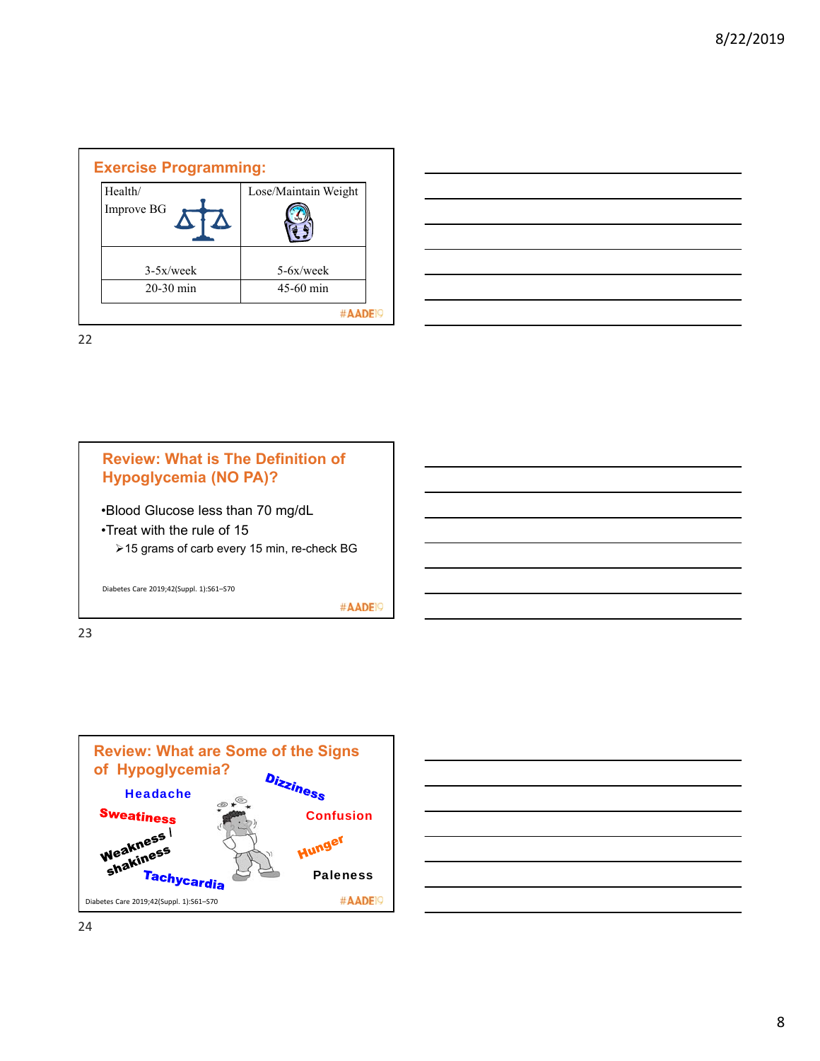| <b>Exercise Programming:</b> |                 |                      |  |
|------------------------------|-----------------|----------------------|--|
|                              | Health/         | Lose/Maintain Weight |  |
|                              | Improve BG<br>W |                      |  |
|                              | $3-5x$ /week    | $5-6x$ /week         |  |
|                              | $20-30$ min     | $45-60$ min          |  |
|                              |                 |                      |  |

| <u> Andreas Andreas Andreas Andreas Andreas Andreas Andreas Andreas Andreas Andreas Andreas Andreas Andreas Andr</u>                                                                                                                 |  |  |
|--------------------------------------------------------------------------------------------------------------------------------------------------------------------------------------------------------------------------------------|--|--|
| <u> Album a componente de la componenta de la componenta de la componenta de la componenta de la componenta de la</u>                                                                                                                |  |  |
| <u> Alexandro de la contrada de la contrada de la contrada de la contrada de la contrada de la contrada de la co</u>                                                                                                                 |  |  |
| <u>. In the contract of the contract of the contract of the contract of the contract of the contract of the contract of the contract of the contract of the contract of the contract of the contract of the contract of the cont</u> |  |  |
|                                                                                                                                                                                                                                      |  |  |
| ,一个人的人都是一个人的人,我们也不会不会不会。""我们,我们也不会不会不会不会。""我们,我们的人,我们也不会不会不会。""我们,我们的人,我们的人,我们也不                                                                                                                                                     |  |  |
|                                                                                                                                                                                                                                      |  |  |





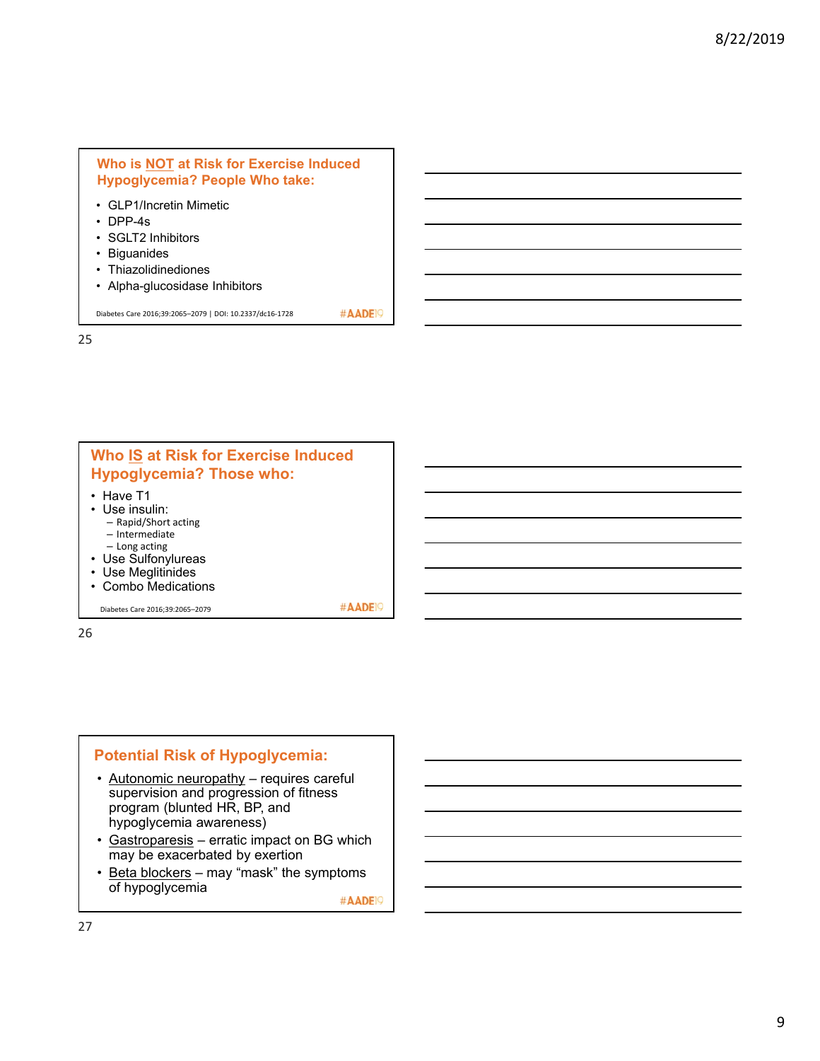#### **Who is NOT at Risk for Exercise Induced Hypoglycemia? People Who take:**

- GLP1/Incretin Mimetic
- DPP-4s
- SGLT2 Inhibitors
- Biguanides
- Thiazolidinediones
- Alpha-glucosidase Inhibitors

Diabetes Care 2016;39:2065–2079 | DOI: 10.2337/dc16‐1728

25



#### **Potential Risk of Hypoglycemia:**

- Autonomic neuropathy requires careful supervision and progression of fitness program (blunted HR, BP, and hypoglycemia awareness)
- Gastroparesis erratic impact on BG which may be exacerbated by exertion
- Beta blockers may "mask" the symptoms of hypoglycemia

#AADE<sup>19</sup>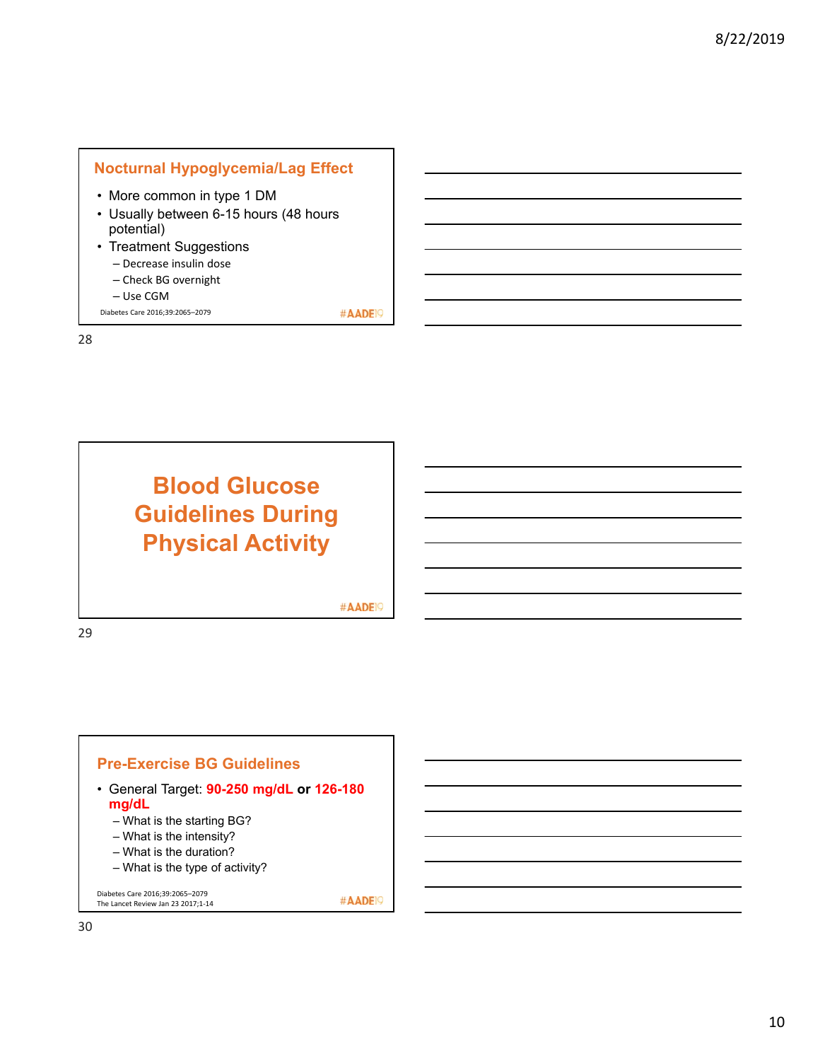# **Nocturnal Hypoglycemia/Lag Effect**

- More common in type 1 DM
- Usually between 6-15 hours (48 hours potential)
- Treatment Suggestions – Decrease insulin dose
	- Check BG overnight
	- Use CGM
- Diabetes Care 2016;39:2065–2079

28

# **Blood Glucose Guidelines During Physical Activity**

#AADE<sup>19</sup>

#AADE<sup>19</sup>

29

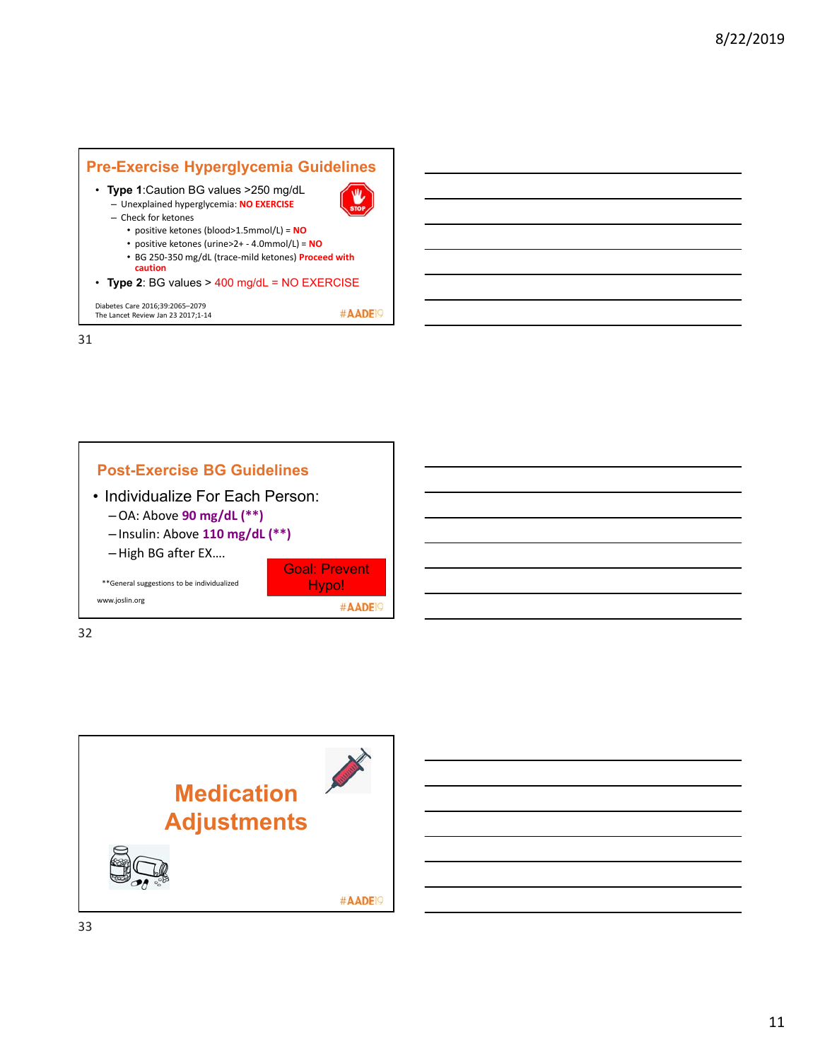





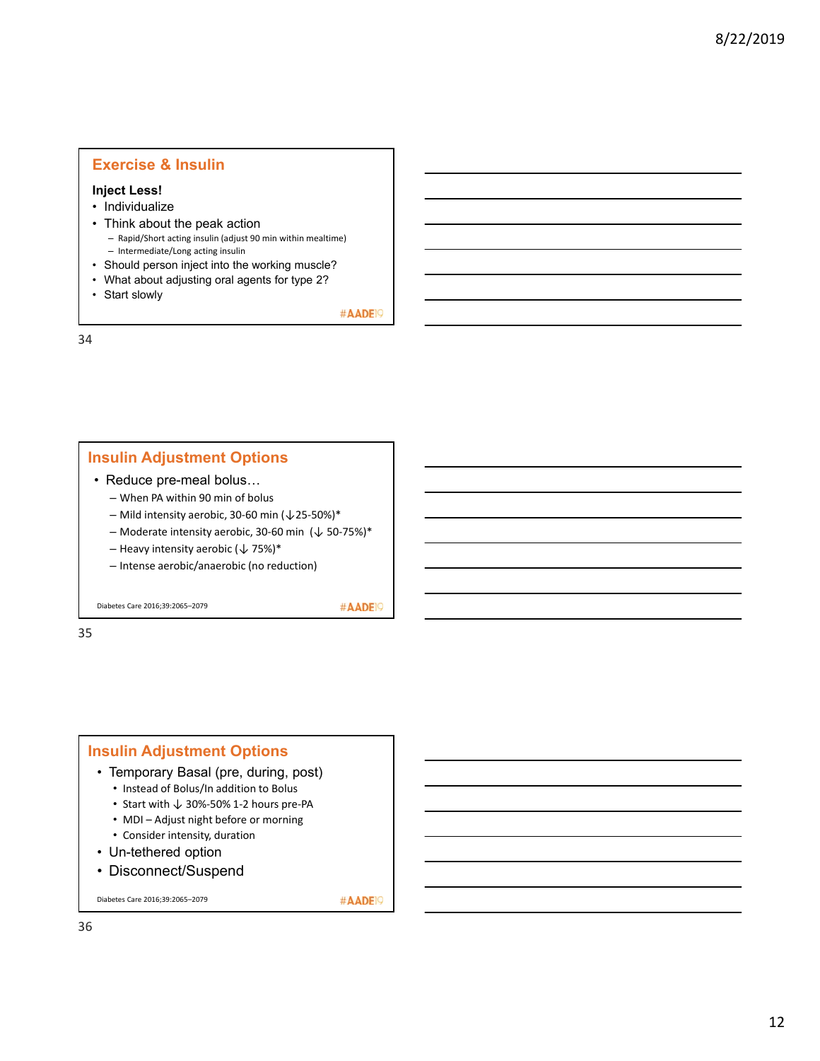#### **Exercise & Insulin**

#### **Inject Less!**

- Individualize
- Think about the peak action – Rapid/Short acting insulin (adjust 90 min within mealtime) – Intermediate/Long acting insulin
- Should person inject into the working muscle?
- What about adjusting oral agents for type 2?
- Start slowly

#AADE<sup>19</sup>

34

#### **Insulin Adjustment Options**

- Reduce pre-meal bolus…
	- When PA within 90 min of bolus
	- Mild intensity aerobic, 30‐60 min (↓25‐50%)\*
	- Moderate intensity aerobic, 30-60 min  $(\downarrow 50$ -75%)\*
	- Heavy intensity aerobic  $(\downarrow 75\%)^*$
	- Intense aerobic/anaerobic (no reduction)

Diabetes Care 2016;39:2065–2079

#AADE<sup>19</sup>

35

#### **Insulin Adjustment Options** • Temporary Basal (pre, during, post) • Instead of Bolus/In addition to Bolus • Start with ↓ 30%‐50% 1‐2 hours pre‐PA • MDI – Adjust night before or morning • Consider intensity, duration • Un-tethered option

• Disconnect/Suspend

Diabetes Care 2016;39:2065–2079

#AADE<sub>19</sub>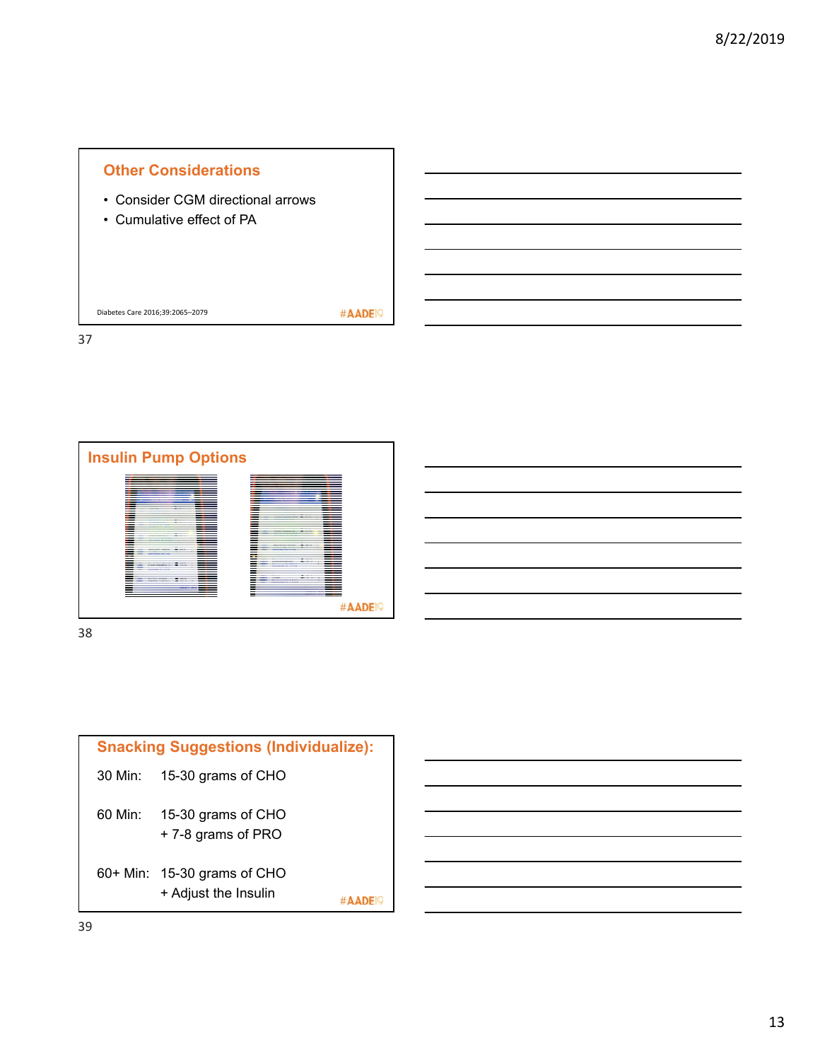



| ÷<br>I<br>w<br>۰. | v<br>.,<br>I<br>×<br>M.<br>۰. |
|-------------------|-------------------------------|

| <b>Snacking Suggestions (Individualize):</b> |                                                     |  |  |  |
|----------------------------------------------|-----------------------------------------------------|--|--|--|
| 30 Min:                                      | 15-30 grams of CHO                                  |  |  |  |
| 60 Min:                                      | 15-30 grams of CHO<br>+7-8 grams of PRO             |  |  |  |
|                                              | 60+ Min: 15-30 grams of CHO<br>+ Adjust the Insulin |  |  |  |

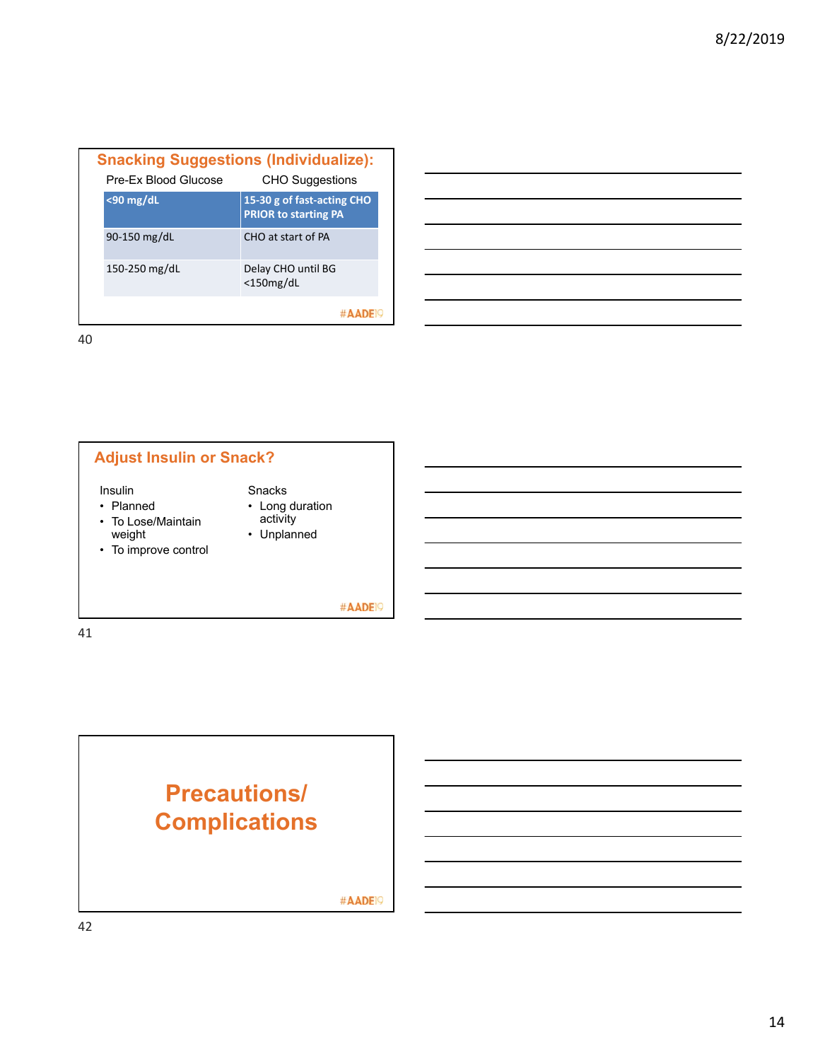| <b>Snacking Suggestions (Individualize):</b><br>Pre-Ex Blood Glucose | <b>CHO Suggestions</b>                                    |
|----------------------------------------------------------------------|-----------------------------------------------------------|
| $<$ 90 mg/dL                                                         | 15-30 g of fast-acting CHO<br><b>PRIOR to starting PA</b> |
| 90-150 mg/dL                                                         | CHO at start of PA                                        |
| 150-250 mg/dL                                                        | Delay CHO until BG<br>$<$ 150 $mg/dL$                     |
|                                                                      | $\#$ $\Delta$ $\Delta$                                    |





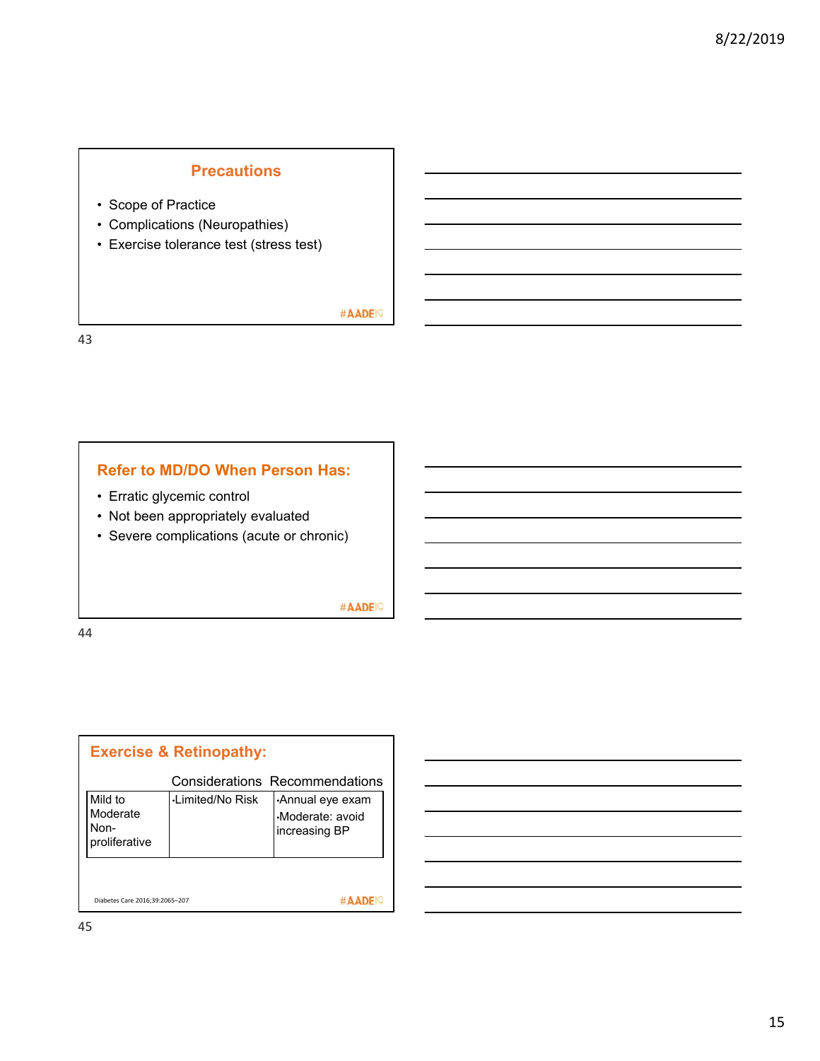# **Precautions**

- Scope of Practice
- Complications (Neuropathies)
- Exercise tolerance test (stress test)

#AADE<sup>19</sup>

43

#### **Refer to MD/DO When Person Has:**

- Erratic glycemic control
- Not been appropriately evaluated
- Severe complications (acute or chronic)

#AADE<sup>19</sup>

44

| <b>Exercise &amp; Retinopathy:</b>           |                        |                                                     |  |
|----------------------------------------------|------------------------|-----------------------------------------------------|--|
|                                              |                        | <b>Considerations Recommendations</b>               |  |
| Mild to<br>Moderate<br>Non-<br>proliferative | <b>Limited/No Risk</b> | Annual eye exam<br>Moderate: avoid<br>increasing BP |  |
| Diabetes Care 2016:39:2065-207               |                        |                                                     |  |

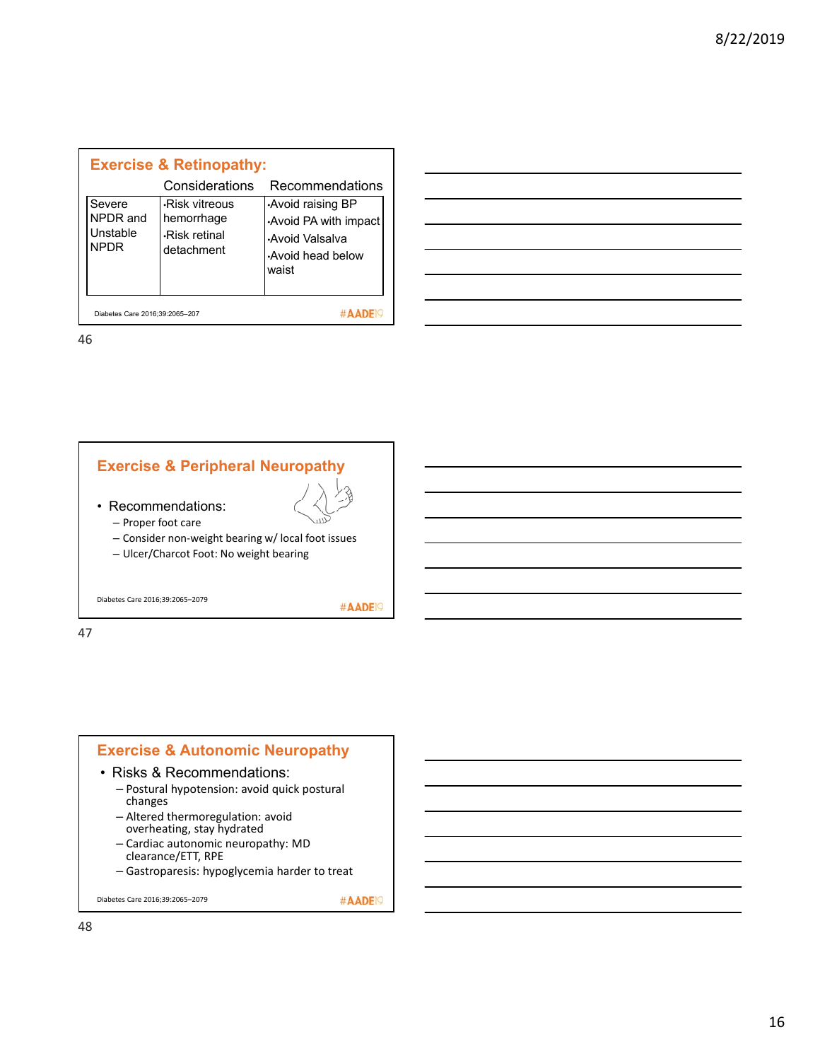| <b>Exercise &amp; Retinopathy:</b>     |                                                                   |                                                                                         |  |  |
|----------------------------------------|-------------------------------------------------------------------|-----------------------------------------------------------------------------------------|--|--|
|                                        | Considerations                                                    | Recommendations                                                                         |  |  |
| Severe<br>NPDR and<br>Unstable<br>NPDR | -Risk vitreous<br>hemorrhage<br><b>Risk retinal</b><br>detachment | Avoid raising BP<br>Avoid PA with impact<br>Avoid Valsalva<br>Avoid head below<br>waist |  |  |
| Diabetes Care 2016:39:2065-207         |                                                                   |                                                                                         |  |  |

| and the contract of the contract of the contract of the contract of the contract of the contract of the contract of                                                                                                                  |                                                                                                                       |  |  |
|--------------------------------------------------------------------------------------------------------------------------------------------------------------------------------------------------------------------------------------|-----------------------------------------------------------------------------------------------------------------------|--|--|
|                                                                                                                                                                                                                                      |                                                                                                                       |  |  |
| <u>and the contract of the contract of the contract of the contract of the contract of the contract of the contract of the contract of the contract of the contract of the contract of the contract of the contract of the contr</u> |                                                                                                                       |  |  |
|                                                                                                                                                                                                                                      | <u> 1989 - Johann Stoff, deutscher Stoffen und der Stoffen und der Stoffen und der Stoffen und der Stoffen und de</u> |  |  |
|                                                                                                                                                                                                                                      | <u> 1989 - Andrea Santa Andrea Andrea Andrea Andrea Andrea Andrea Andrea Andrea Andrea Andrea Andrea Andrea Andr</u>  |  |  |
| and the contract of the contract of the contract of the contract of the contract of the contract of the contract of                                                                                                                  |                                                                                                                       |  |  |
|                                                                                                                                                                                                                                      |                                                                                                                       |  |  |



- 
- Recommendations: – Proper foot care
	- Consider non‐weight bearing w/ local foot issues
	- Ulcer/Charcot Foot: No weight bearing

Diabetes Care 2016;39:2065–2079

#AADE<sup>19</sup>

47

#### **Exercise & Autonomic Neuropathy** • Risks & Recommendations: – Postural hypotension: avoid quick postural changes – Altered thermoregulation: avoid overheating, stay hydrated – Cardiac autonomic neuropathy: MD clearance/ETT, RPE – Gastroparesis: hypoglycemia harder to treat

Diabetes Care 2016;39:2065–2079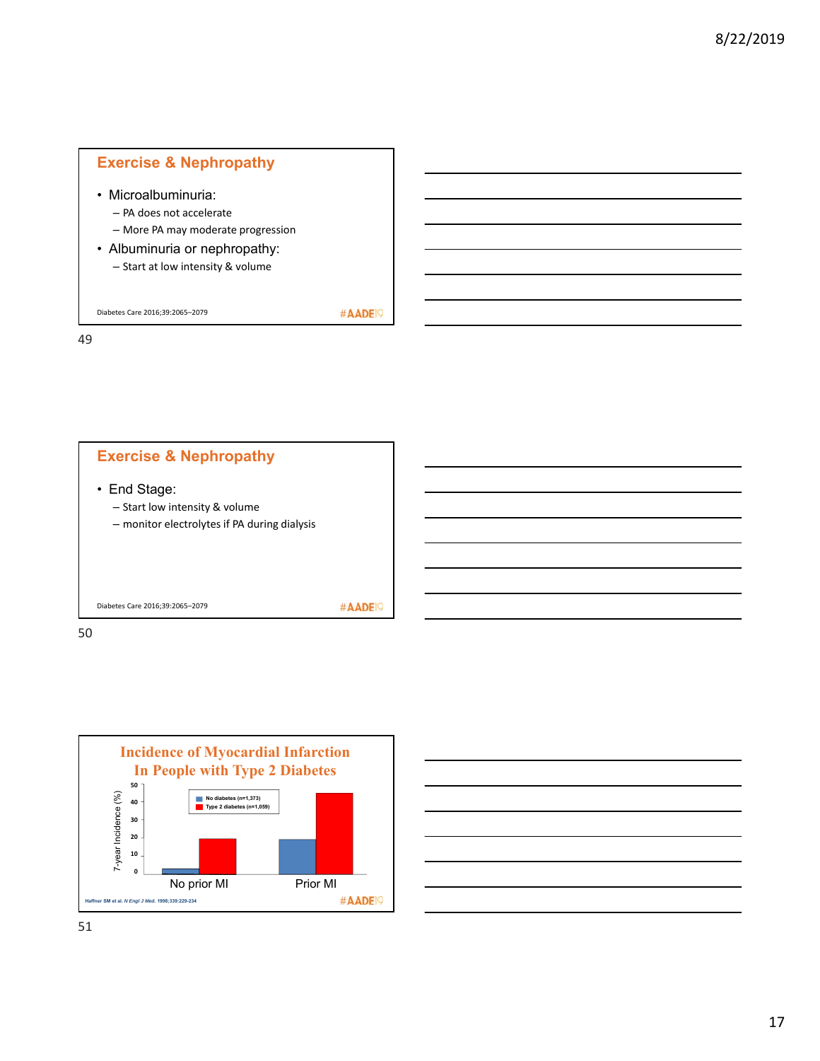# **Exercise & Nephropathy**

- Microalbuminuria:
	- PA does not accelerate
	- More PA may moderate progression
- Albuminuria or nephropathy: – Start at low intensity & volume

Diabetes Care 2016;39:2065–2079

#AADE<sup>19</sup>

49





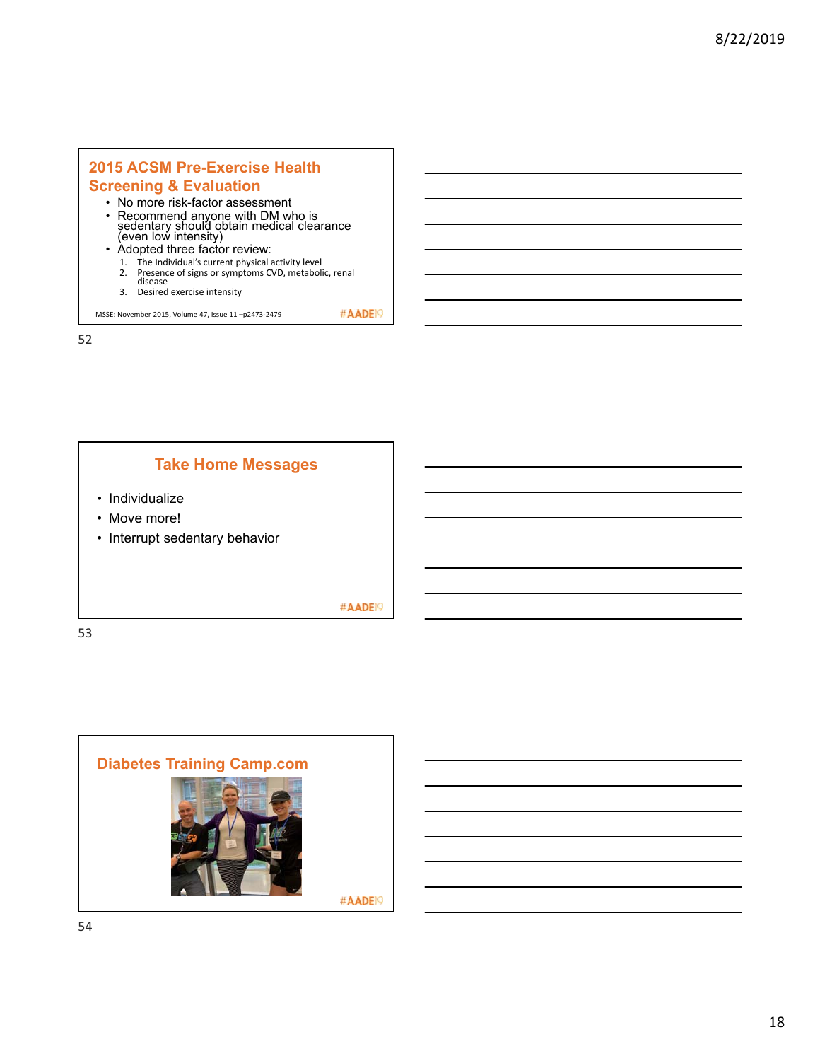# **2015 ACSM Pre-Exercise Health**

#### **Screening & Evaluation**

- No more risk-factor assessment
- Recommend anyone with DM who is<br>sedentary should obtain medical clearance<br>(even low intensity)
- Adopted three factor review:
	- 1. The Individual's current physical activity level<br>2. Presence of signs or symptoms CVD, metaboli Presence of signs or symptoms CVD, metabolic, renal<br>disease
	- 3. Desired exercise intensity

MSSE: November 2015, Volume 47, Issue 11 –p2473‐2479

52



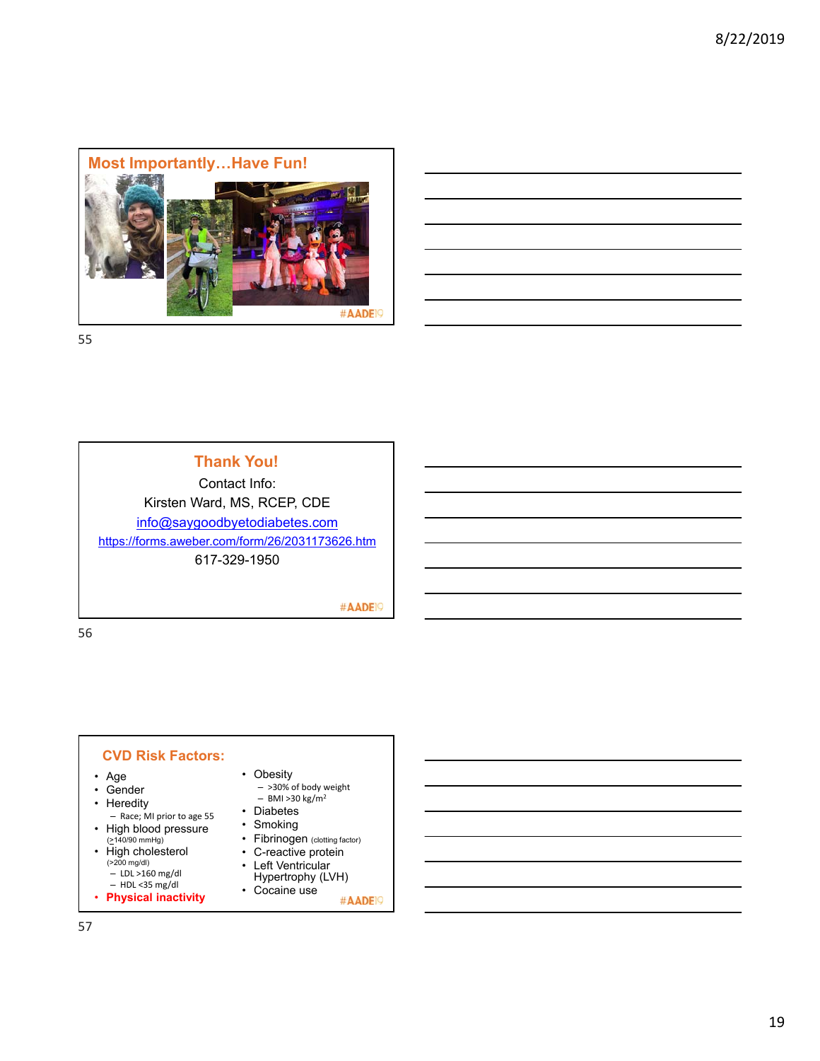

**Thank You!**

Contact Info: Kirsten Ward, MS, RCEP, CDE info@saygoodbyetodiabetes.com https://forms.aweber.com/form/26/2031173626.htm 617-329-1950

#AADE<sup>19</sup>

56

#### **CVD Risk Factors:**

- Age
- Gender
- Heredity
- Race; MI prior to age 55 • High blood pressure
- (>140/90 mmHg) • High cholesterol
- (>200 mg/dl) LDL >160 mg/dl
- HDL <35 mg/dl
- **Physical inactivity**

• Obesity – >30% of body weight

- BMI >30 kg/m2
- Diabetes
- Smoking
- Fibrinogen (clotting factor)
- C-reactive protein
- Left Ventricular Hypertrophy (LVH)
- Cocaine use #AADE<sup>19</sup>